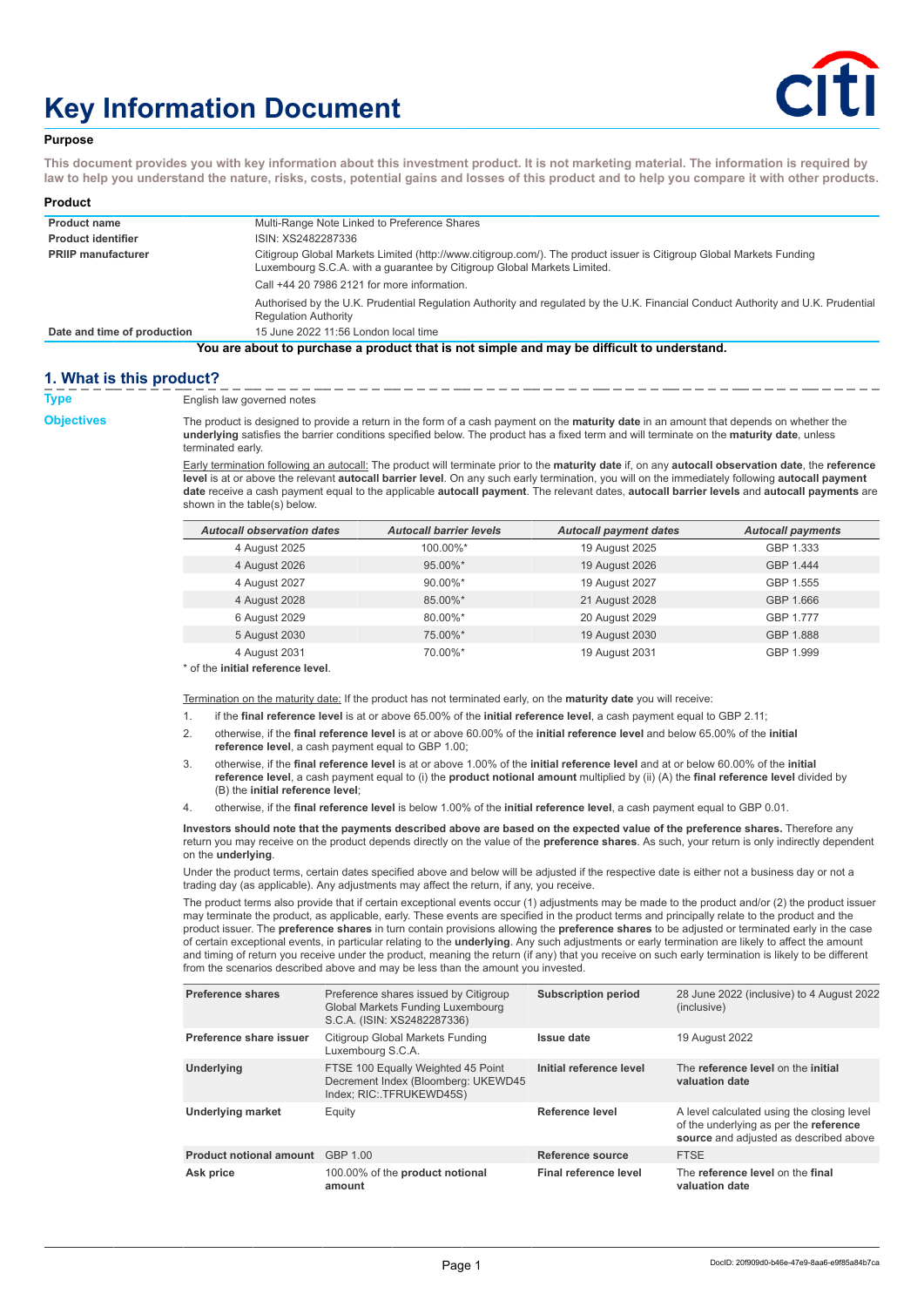# **Key Information Document**



### **Purpose**

**This document provides you with key information about this investment product. It is not marketing material. The information is required by law to help you understand the nature, risks, costs, potential gains and losses of this product and to help you compare it with other products.**

| Product                     |                                                                                                                                                                                                 |
|-----------------------------|-------------------------------------------------------------------------------------------------------------------------------------------------------------------------------------------------|
| <b>Product name</b>         | Multi-Range Note Linked to Preference Shares                                                                                                                                                    |
| <b>Product identifier</b>   | ISIN: XS2482287336                                                                                                                                                                              |
| <b>PRIIP manufacturer</b>   | Citigroup Global Markets Limited (http://www.citigroup.com/). The product issuer is Citigroup Global Markets Funding<br>Luxembourg S.C.A. with a quarantee by Citigroup Global Markets Limited. |
|                             | Call +44 20 7986 2121 for more information.                                                                                                                                                     |
|                             | Authorised by the U.K. Prudential Regulation Authority and regulated by the U.K. Financial Conduct Authority and U.K. Prudential<br><b>Regulation Authority</b>                                 |
| Date and time of production | 15 June 2022 11:56 London local time                                                                                                                                                            |
|                             | You are about to purchase a product that is not simple and may be difficult to understand.                                                                                                      |

# **1. What is this product?**

**Type** English law governed notes

**Objectives** The product is designed to provide a return in the form of a cash payment on the **maturity date** in an amount that depends on whether the **underlying** satisfies the barrier conditions specified below. The product has a fixed term and will terminate on the **maturity date**, unless terminated early.

> Early termination following an autocall: The product will terminate prior to the **maturity date** if, on any **autocall observation date**, the **reference level** is at or above the relevant **autocall barrier level**. On any such early termination, you will on the immediately following **autocall payment date** receive a cash payment equal to the applicable **autocall payment**. The relevant dates, **autocall barrier levels** and **autocall payments** are shown in the table(s) below.

| <b>Autocall observation dates</b> | <b>Autocall barrier levels</b> | <b>Autocall payment dates</b> | <b>Autocall payments</b> |
|-----------------------------------|--------------------------------|-------------------------------|--------------------------|
| 4 August 2025                     | 100.00%*                       | 19 August 2025                | GBP 1.333                |
| 4 August 2026                     | 95.00%*                        | 19 August 2026                | GBP 1.444                |
| 4 August 2027                     | 90.00%*                        | 19 August 2027                | GBP 1.555                |
| 4 August 2028                     | 85.00%*                        | 21 August 2028                | GBP 1.666                |
| 6 August 2029                     | 80.00%*                        | 20 August 2029                | GBP 1.777                |
| 5 August 2030                     | 75.00%*                        | 19 August 2030                | GBP 1.888                |
| 4 August 2031                     | 70.00%*                        | 19 August 2031                | GBP 1.999                |

\* of the **initial reference level**.

Termination on the maturity date: If the product has not terminated early, on the **maturity date** you will receive:

1. if the **final reference level** is at or above 65.00% of the **initial reference level**, a cash payment equal to GBP 2.11;

- 2. otherwise, if the **final reference level** is at or above 60.00% of the **initial reference level** and below 65.00% of the **initial reference level**, a cash payment equal to GBP 1.00;
- 3. otherwise, if the **final reference level** is at or above 1.00% of the **initial reference level** and at or below 60.00% of the **initial reference level**, a cash payment equal to (i) the **product notional amount** multiplied by (ii) (A) the **final reference level** divided by (B) the **initial reference level**;
- 4. otherwise, if the **final reference level** is below 1.00% of the **initial reference level**, a cash payment equal to GBP 0.01.

**Investors should note that the payments described above are based on the expected value of the preference shares.** Therefore any return you may receive on the product depends directly on the value of the **preference shares**. As such, your return is only indirectly dependent on the **underlying**.

Under the product terms, certain dates specified above and below will be adjusted if the respective date is either not a business day or not a trading day (as applicable). Any adjustments may affect the return, if any, you receive.

The product terms also provide that if certain exceptional events occur (1) adjustments may be made to the product and/or (2) the product issuer may terminate the product, as applicable, early. These events are specified in the product terms and principally relate to the product and the product issuer. The **preference shares** in turn contain provisions allowing the **preference shares** to be adjusted or terminated early in the case of certain exceptional events, in particular relating to the **underlying**. Any such adjustments or early termination are likely to affect the amount and timing of return you receive under the product, meaning the return (if any) that you receive on such early termination is likely to be different from the scenarios described above and may be less than the amount you invested.

| <b>Preference shares</b>       | Preference shares issued by Citigroup<br>Global Markets Funding Luxembourg<br>S.C.A. (ISIN: XS2482287336) | <b>Subscription period</b> | 28 June 2022 (inclusive) to 4 August 2022<br>(inclusive)                                                                       |
|--------------------------------|-----------------------------------------------------------------------------------------------------------|----------------------------|--------------------------------------------------------------------------------------------------------------------------------|
| Preference share issuer        | Citigroup Global Markets Funding<br>Luxembourg S.C.A.                                                     | Issue date                 | 19 August 2022                                                                                                                 |
| Underlying                     | FTSE 100 Equally Weighted 45 Point<br>Decrement Index (Bloomberg: UKEWD45<br>Index; RIC: TFRUKEWD45S)     | Initial reference level    | The reference level on the initial<br>valuation date                                                                           |
| <b>Underlying market</b>       | Equity                                                                                                    | Reference level            | A level calculated using the closing level<br>of the underlying as per the reference<br>source and adjusted as described above |
| <b>Product notional amount</b> | GBP 1.00                                                                                                  | Reference source           | <b>FTSE</b>                                                                                                                    |
| Ask price                      | 100.00% of the product notional<br>amount                                                                 | Final reference level      | The reference level on the final<br>valuation date                                                                             |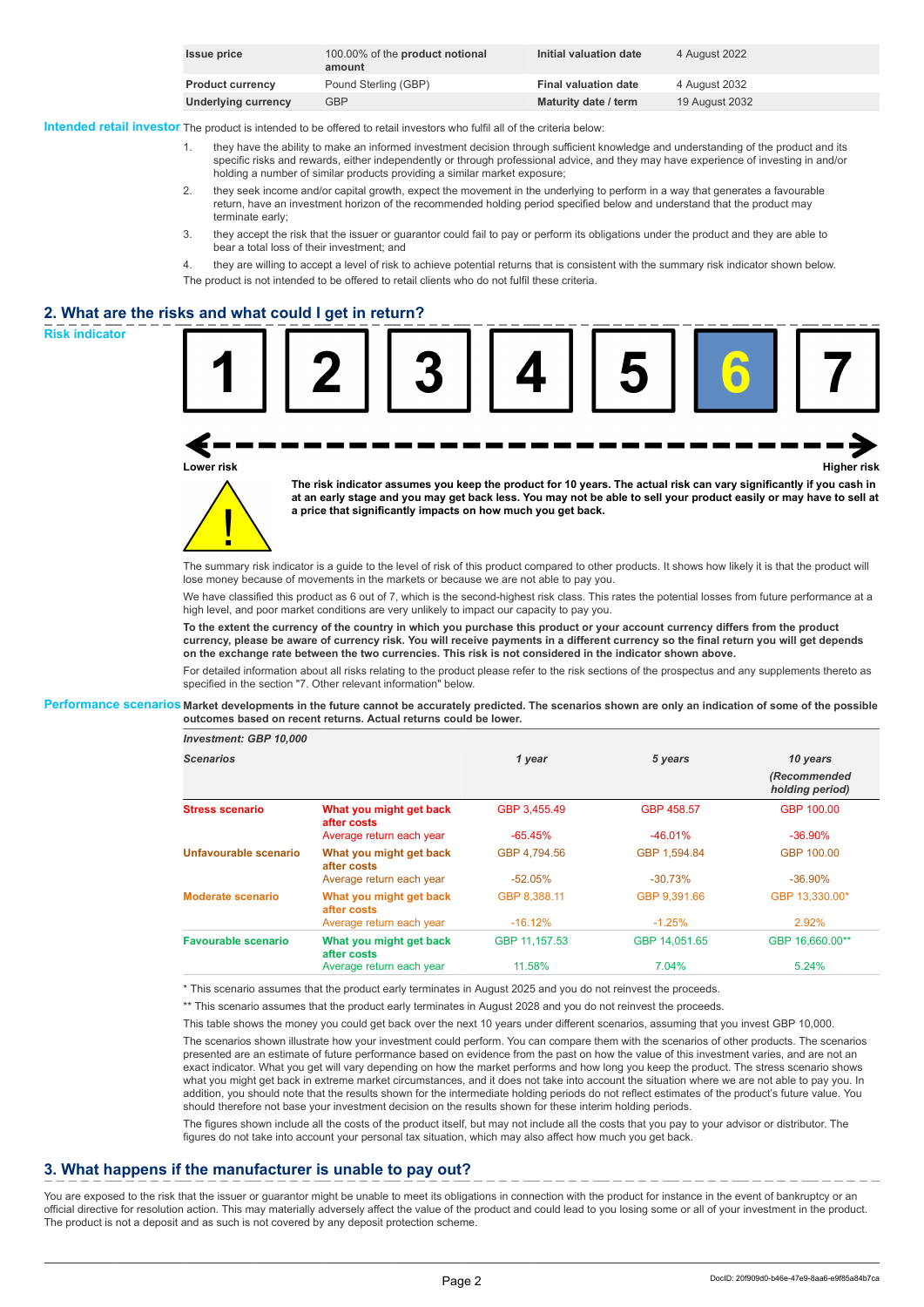| <b>Issue price</b>      | 100.00% of the <b>product notional</b><br>amount | Initial valuation date      | 4 August 2022  |
|-------------------------|--------------------------------------------------|-----------------------------|----------------|
| <b>Product currency</b> | Pound Sterling (GBP)                             | <b>Final valuation date</b> | 4 August 2032  |
| Underlying currency     | <b>GBP</b>                                       | Maturity date / term        | 19 August 2032 |

**Intended retail investor** The product is intended to be offered to retail investors who fulfil all of the criteria below:

- they have the ability to make an informed investment decision through sufficient knowledge and understanding of the product and its specific risks and rewards, either independently or through professional advice, and they may have experience of investing in and/or holding a number of similar products providing a similar market exposure;
- 2. they seek income and/or capital growth, expect the movement in the underlying to perform in a way that generates a favourable return, have an investment horizon of the recommended holding period specified below and understand that the product may terminate early;
- 3. they accept the risk that the issuer or guarantor could fail to pay or perform its obligations under the product and they are able to bear a total loss of their investment; and
- 4. they are willing to accept a level of risk to achieve potential returns that is consistent with the summary risk indicator shown below. The product is not intended to be offered to retail clients who do not fulfil these criteria.

# **2. What are the risks and what could I get in return?**





**Lower risk Higher risk**

**The risk indicator assumes you keep the product for 10 years. The actual risk can vary significantly if you cash in at an early stage and you may get back less. You may not be able to sell your product easily or may have to sell at a price that significantly impacts on how much you get back.**

The summary risk indicator is a guide to the level of risk of this product compared to other products. It shows how likely it is that the product will lose money because of movements in the markets or because we are not able to pay you.

We have classified this product as 6 out of 7, which is the second-highest risk class. This rates the potential losses from future performance at a high level, and poor market conditions are very unlikely to impact our capacity to pay you.

**To the extent the currency of the country in which you purchase this product or your account currency differs from the product currency, please be aware of currency risk. You will receive payments in a different currency so the final return you will get depends on the exchange rate between the two currencies. This risk is not considered in the indicator shown above.**

For detailed information about all risks relating to the product please refer to the risk sections of the prospectus and any supplements thereto as specified in the section "7. Other relevant information" below.

**Performance scenarios Market developments in the future cannot be accurately predicted. The scenarios shown are only an indication of some of the possible outcomes based on recent returns. Actual returns could be lower.**

| <b>Investment: GBP 10,000</b> |  |  |
|-------------------------------|--|--|
|-------------------------------|--|--|

*Scenarios 1 year 5 years 10 years*

|                            |                                        |               |               | (Recommended<br>holding period) |
|----------------------------|----------------------------------------|---------------|---------------|---------------------------------|
| <b>Stress scenario</b>     | What you might get back<br>after costs | GBP 3.455.49  | GBP 458.57    | GBP 100.00                      |
|                            | Average return each year               | $-65.45%$     | $-46.01%$     | $-36.90%$                       |
| Unfavourable scenario      | What you might get back<br>after costs | GBP 4.794.56  | GBP 1.594.84  | GBP 100.00                      |
|                            | Average return each year               | $-52.05%$     | $-30.73%$     | $-36.90\%$                      |
| <b>Moderate scenario</b>   | What you might get back<br>after costs | GBP 8.388.11  | GBP 9.391.66  | GBP 13.330.00*                  |
|                            | Average return each year               | $-16.12\%$    | $-1.25%$      | 2.92%                           |
| <b>Favourable scenario</b> | What you might get back<br>after costs | GBP 11.157.53 | GBP 14.051.65 | GBP 16.660.00**                 |
|                            | Average return each year               | 11.58%        | 7.04%         | 5.24%                           |

\* This scenario assumes that the product early terminates in August 2025 and you do not reinvest the proceeds.

\*\* This scenario assumes that the product early terminates in August 2028 and you do not reinvest the proceeds.

This table shows the money you could get back over the next 10 years under different scenarios, assuming that you invest GBP 10,000.

The scenarios shown illustrate how your investment could perform. You can compare them with the scenarios of other products. The scenarios presented are an estimate of future performance based on evidence from the past on how the value of this investment varies, and are not an exact indicator. What you get will vary depending on how the market performs and how long you keep the product. The stress scenario shows what you might get back in extreme market circumstances, and it does not take into account the situation where we are not able to pay you. In addition, you should note that the results shown for the intermediate holding periods do not reflect estimates of the product's future value. You should therefore not base your investment decision on the results shown for these interim holding periods.

The figures shown include all the costs of the product itself, but may not include all the costs that you pay to your advisor or distributor. The figures do not take into account your personal tax situation, which may also affect how much you get back.

# **3. What happens if the manufacturer is unable to pay out?**

You are exposed to the risk that the issuer or guarantor might be unable to meet its obligations in connection with the product for instance in the event of bankruptcy or an official directive for resolution action. This may materially adversely affect the value of the product and could lead to you losing some or all of your investment in the product. The product is not a deposit and as such is not covered by any deposit protection scheme.